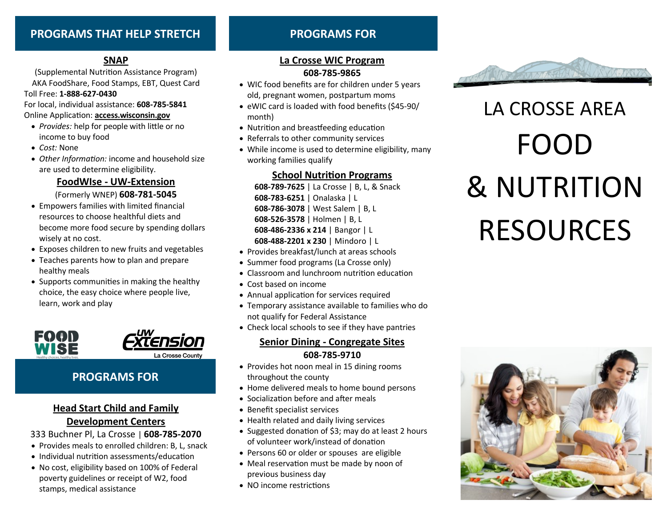# **PROGRAMS THAT HELP STRETCH PROGRAMS FOR**

# **SNAP**

(Supplemental Nutrition Assistance Program) AKA FoodShare, Food Stamps, EBT, Quest Card Toll Free: **1-888-627-0430**

For local, individual assistance: **608-785-5841** Online Application: **access.wisconsin.gov**

- *Provides:* help for people with little or no income to buy food
- *Cost:* None
- *Other Information:* income and household size are used to determine eligibility.

**FoodWIse - UW-Extension**  (Formerly WNEP) **608-781-5045**

- Empowers families with limited financial resources to choose healthful diets and become more food secure by spending dollars wisely at no cost.
- Exposes children to new fruits and vegetables
- Teaches parents how to plan and prepare healthy meals
- Supports communities in making the healthy choice, the easy choice where people live, learn, work and play





# **PROGRAMS FOR**

# **Head Start Child and Family**

# **Development Centers**

333 Buchner Pl, La Crosse | **608-785-2070**

- Provides meals to enrolled children: B, L, snack
- Individual nutrition assessments/education
- No cost, eligibility based on 100% of Federal poverty guidelines or receipt of W2, food stamps, medical assistance

# **La Crosse WIC Program 608-785-9865**

- WIC food benefits are for children under 5 years old, pregnant women, postpartum moms
- eWIC card is loaded with food benefits (\$45-90/ month)
- Nutrition and breastfeeding education
- Referrals to other community services
- While income is used to determine eligibility, many working families qualify

# **School Nutrition Programs**

**-789-7625** | La Crosse | B, L, & Snack **-783-6251** | Onalaska | L **-786-3078** | West Salem | B, L **-526-3578** | Holmen | B, L **-486-2336 x 214** | Bangor | L **-488-2201 x 230** | Mindoro | L

- Provides breakfast/lunch at areas schools
- Summer food programs (La Crosse only)
- Classroom and lunchroom nutrition education
- Cost based on income
- Annual application for services required
- Temporary assistance available to families who do not qualify for Federal Assistance
- Check local schools to see if they have pantries

# **Senior Dining - Congregate Sites 608-785-9710**

- Provides hot noon meal in 15 dining rooms throughout the county
- Home delivered meals to home bound persons
- Socialization before and after meals
- Benefit specialist services
- Health related and daily living services
- Suggested donation of \$3; may do at least 2 hours of volunteer work/instead of donation
- Persons 60 or older or spouses are eligible
- Meal reservation must be made by noon of previous business day
- NO income restrictions



# LA CROSSE AREA FOOD & NUTRITION RESOURCES